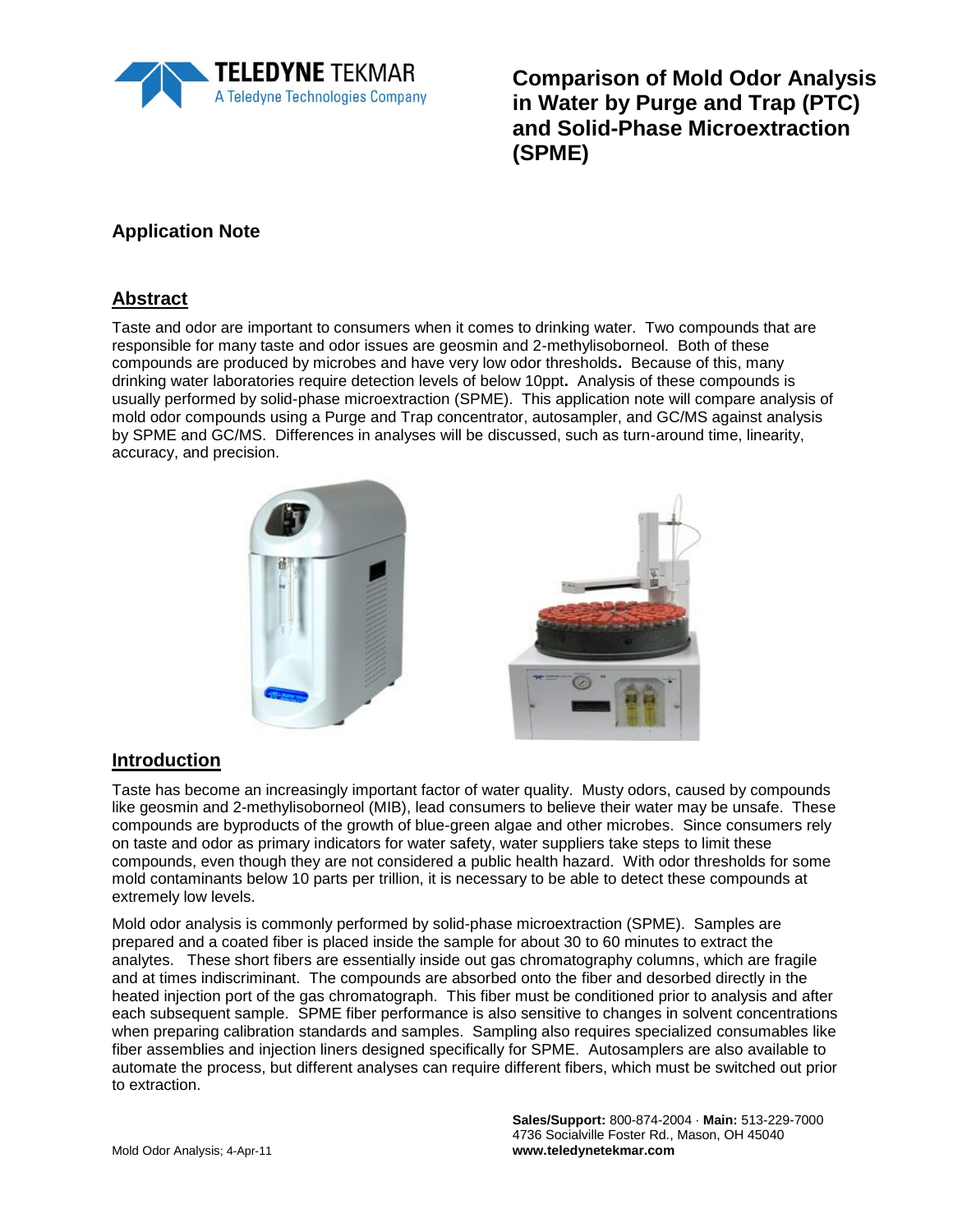

**Comparison of Mold Odor Analysis in Water by Purge and Trap (PTC) and Solid-Phase Microextraction (SPME)**

# **Application Note**

#### **Abstract**

Taste and odor are important to consumers when it comes to drinking water. Two compounds that are responsible for many taste and odor issues are geosmin and 2-methylisoborneol. Both of these compounds are produced by microbes and have very low odor thresholds**.** Because of this, many drinking water laboratories require detection levels of below 10ppt**.** Analysis of these compounds is usually performed by solid-phase microextraction (SPME). This application note will compare analysis of mold odor compounds using a Purge and Trap concentrator, autosampler, and GC/MS against analysis by SPME and GC/MS. Differences in analyses will be discussed, such as turn-around time, linearity, accuracy, and precision.



#### **Introduction**

Taste has become an increasingly important factor of water quality. Musty odors, caused by compounds like geosmin and 2-methylisoborneol (MIB), lead consumers to believe their water may be unsafe. These compounds are byproducts of the growth of blue-green algae and other microbes. Since consumers rely on taste and odor as primary indicators for water safety, water suppliers take steps to limit these compounds, even though they are not considered a public health hazard. With odor thresholds for some mold contaminants below 10 parts per trillion, it is necessary to be able to detect these compounds at extremely low levels.

Mold odor analysis is commonly performed by solid-phase microextraction (SPME). Samples are prepared and a coated fiber is placed inside the sample for about 30 to 60 minutes to extract the analytes. These short fibers are essentially inside out gas chromatography columns, which are fragile and at times indiscriminant. The compounds are absorbed onto the fiber and desorbed directly in the heated injection port of the gas chromatograph. This fiber must be conditioned prior to analysis and after each subsequent sample. SPME fiber performance is also sensitive to changes in solvent concentrations when preparing calibration standards and samples. Sampling also requires specialized consumables like fiber assemblies and injection liners designed specifically for SPME. Autosamplers are also available to automate the process, but different analyses can require different fibers, which must be switched out prior to extraction.

> **Sales/Support:** 800-874-2004 · **Main:** 513-229-7000 4736 Socialville Foster Rd., Mason, OH 45040 **www.teledynetekmar.com**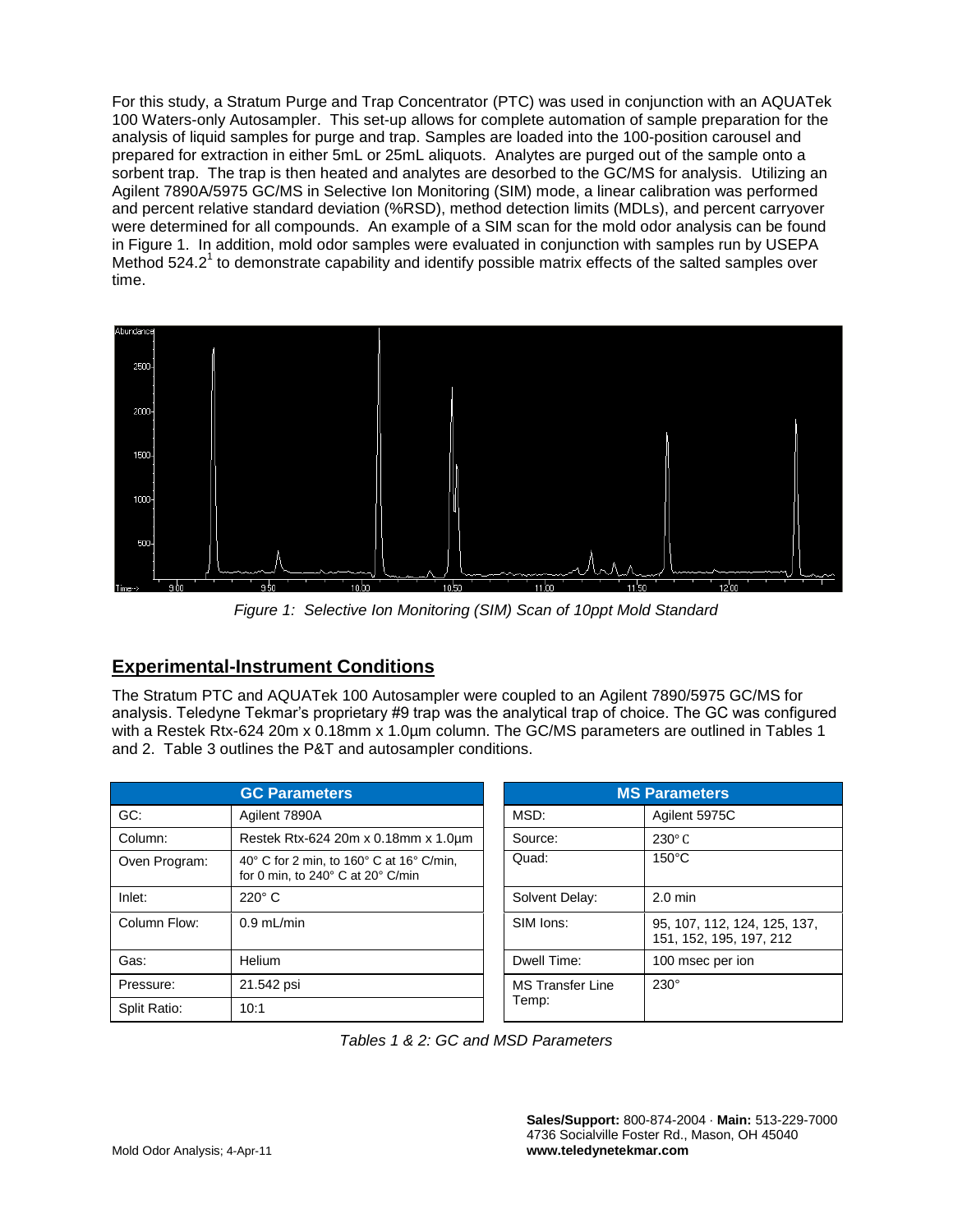For this study, a Stratum Purge and Trap Concentrator (PTC) was used in conjunction with an AQUATek 100 Waters-only Autosampler. This set-up allows for complete automation of sample preparation for the analysis of liquid samples for purge and trap. Samples are loaded into the 100-position carousel and prepared for extraction in either 5mL or 25mL aliquots. Analytes are purged out of the sample onto a sorbent trap. The trap is then heated and analytes are desorbed to the GC/MS for analysis. Utilizing an Agilent 7890A/5975 GC/MS in Selective Ion Monitoring (SIM) mode, a linear calibration was performed and percent relative standard deviation (%RSD), method detection limits (MDLs), and percent carryover were determined for all compounds. An example of a SIM scan for the mold odor analysis can be found in Figure 1. In addition, mold odor samples were evaluated in conjunction with samples run by USEPA Method 524.2<sup>1</sup> to demonstrate capability and identify possible matrix effects of the salted samples over time.



*Figure 1: Selective Ion Monitoring (SIM) Scan of 10ppt Mold Standard*

## **Experimental-Instrument Conditions**

The Stratum PTC and AQUATek 100 Autosampler were coupled to an Agilent 7890/5975 GC/MS for analysis. Teledyne Tekmar's proprietary #9 trap was the analytical trap of choice. The GC was configured with a Restek Rtx-624 20m x 0.18mm x 1.0µm column. The GC/MS parameters are outlined in Tables 1 and 2. Table 3 outlines the P&T and autosampler conditions.

| <b>GC Parameters</b> |                                                                               | <b>MS Parameters</b>    |                                                         |  |
|----------------------|-------------------------------------------------------------------------------|-------------------------|---------------------------------------------------------|--|
| GC:                  | Agilent 7890A                                                                 | MSD:                    | Agilent 5975C                                           |  |
| Column:              | Restek Rtx-624 20m x 0.18mm x 1.0um                                           | Source:                 | $230^\circ$ C                                           |  |
| Oven Program:        | 40° C for 2 min, to 160° C at 16° C/min,<br>for 0 min, to 240° C at 20° C/min | Quad:                   | $150^{\circ}$ C                                         |  |
| Inlet:               | $220^\circ$ C                                                                 | Solvent Delay:          | $2.0 \text{ min}$                                       |  |
| Column Flow:         | $0.9$ mL/min                                                                  | SIM Ions:               | 95, 107, 112, 124, 125, 137,<br>151, 152, 195, 197, 212 |  |
| Gas:                 | Helium                                                                        | Dwell Time:             | 100 msec per ion                                        |  |
| Pressure:            | 21.542 psi                                                                    | <b>MS Transfer Line</b> | $230^\circ$                                             |  |
| Split Ratio:         | 10:1                                                                          | Temp:                   |                                                         |  |

| <b>MS Parameters</b>             |                                                         |  |  |  |
|----------------------------------|---------------------------------------------------------|--|--|--|
| MSD:                             | Agilent 5975C                                           |  |  |  |
| Source:                          | $230^\circ$ C                                           |  |  |  |
| Quad:                            | $150^{\circ}$ C                                         |  |  |  |
| Solvent Delay:                   | $2.0 \text{ min}$                                       |  |  |  |
| SIM Ions:                        | 95, 107, 112, 124, 125, 137,<br>151, 152, 195, 197, 212 |  |  |  |
| Dwell Time:                      | 100 msec per ion                                        |  |  |  |
| <b>MS Transfer Line</b><br>Temp: | $230^\circ$                                             |  |  |  |

*Tables 1 & 2: GC and MSD Parameters*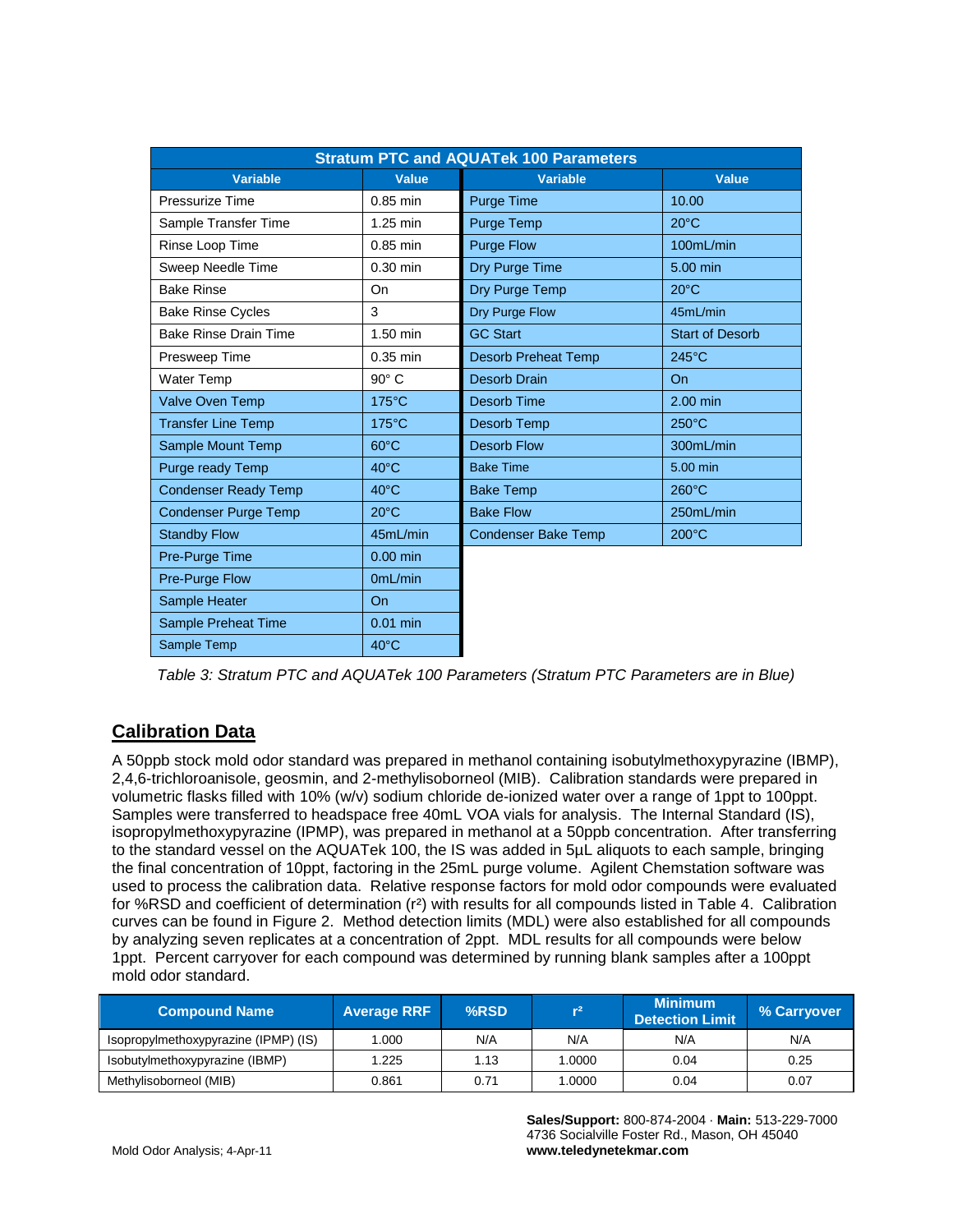| <b>Stratum PTC and AQUATek 100 Parameters</b> |                 |                            |                        |  |
|-----------------------------------------------|-----------------|----------------------------|------------------------|--|
| Variable                                      | <b>Value</b>    | <b>Variable</b>            | <b>Value</b>           |  |
| Pressurize Time                               | $0.85$ min      | <b>Purge Time</b>          | 10.00                  |  |
| Sample Transfer Time                          | 1.25 min        | <b>Purge Temp</b>          | $20^{\circ}$ C         |  |
| Rinse Loop Time                               | $0.85$ min      | <b>Purge Flow</b>          | 100mL/min              |  |
| Sweep Needle Time                             | $0.30$ min      | Dry Purge Time             | 5.00 min               |  |
| <b>Bake Rinse</b>                             | On              | Dry Purge Temp             | $20^{\circ}$ C         |  |
| <b>Bake Rinse Cycles</b>                      | 3               | Dry Purge Flow             | 45mL/min               |  |
| <b>Bake Rinse Drain Time</b>                  | 1.50 min        | <b>GC Start</b>            | <b>Start of Desorb</b> |  |
| Presweep Time                                 | $0.35$ min      | <b>Desorb Preheat Temp</b> | $245^{\circ}$ C        |  |
| <b>Water Temp</b>                             | $90^\circ$ C    | <b>Desorb Drain</b>        | On                     |  |
| Valve Oven Temp                               | $175^{\circ}$ C | <b>Desorb Time</b>         | $2.00$ min             |  |
| <b>Transfer Line Temp</b>                     | $175^{\circ}$ C | <b>Desorb Temp</b>         | $250^{\circ}$ C        |  |
| Sample Mount Temp                             | $60^{\circ}$ C  | <b>Desorb Flow</b>         | 300mL/min              |  |
| <b>Purge ready Temp</b>                       | $40^{\circ}$ C  | <b>Bake Time</b>           | 5.00 min               |  |
| <b>Condenser Ready Temp</b>                   | $40^{\circ}$ C  | <b>Bake Temp</b>           | $260^{\circ}$ C        |  |
| Condenser Purge Temp                          | $20^{\circ}$ C  | <b>Bake Flow</b>           | 250mL/min              |  |
| <b>Standby Flow</b>                           | 45mL/min        | <b>Condenser Bake Temp</b> | $200^{\circ}$ C        |  |
| Pre-Purge Time                                | $0.00$ min      |                            |                        |  |
| Pre-Purge Flow                                | OmL/min         |                            |                        |  |
| Sample Heater                                 | On              |                            |                        |  |
| Sample Preheat Time                           | $0.01$ min      |                            |                        |  |
| Sample Temp                                   | $40^{\circ}$ C  |                            |                        |  |

*Table 3: Stratum PTC and AQUATek 100 Parameters (Stratum PTC Parameters are in Blue)*

## **Calibration Data**

A 50ppb stock mold odor standard was prepared in methanol containing isobutylmethoxypyrazine (IBMP), 2,4,6-trichloroanisole, geosmin, and 2-methylisoborneol (MIB). Calibration standards were prepared in volumetric flasks filled with 10% (w/v) sodium chloride de-ionized water over a range of 1ppt to 100ppt. Samples were transferred to headspace free 40mL VOA vials for analysis. The Internal Standard (IS), isopropylmethoxypyrazine (IPMP), was prepared in methanol at a 50ppb concentration. After transferring to the standard vessel on the AQUATek 100, the IS was added in 5µL aliquots to each sample, bringing the final concentration of 10ppt, factoring in the 25mL purge volume. Agilent Chemstation software was used to process the calibration data. Relative response factors for mold odor compounds were evaluated for %RSD and coefficient of determination (r²) with results for all compounds listed in Table 4. Calibration curves can be found in Figure 2. Method detection limits (MDL) were also established for all compounds by analyzing seven replicates at a concentration of 2ppt. MDL results for all compounds were below 1ppt. Percent carryover for each compound was determined by running blank samples after a 100ppt mold odor standard.

| <b>Compound Name</b>                 | <b>Average RRF</b> | %RSD | r <sup>2</sup> | <b>Minimum</b><br><b>Detection Limit</b> | % Carryover |
|--------------------------------------|--------------------|------|----------------|------------------------------------------|-------------|
| Isopropylmethoxypyrazine (IPMP) (IS) | 1.000              | N/A  | N/A            | N/A                                      | N/A         |
| Isobutylmethoxypyrazine (IBMP)       | 1.225              | 1.13 | 1.0000         | 0.04                                     | 0.25        |
| Methylisoborneol (MIB)               | 0.861              | 0.71 | 1.0000         | 0.04                                     | 0.07        |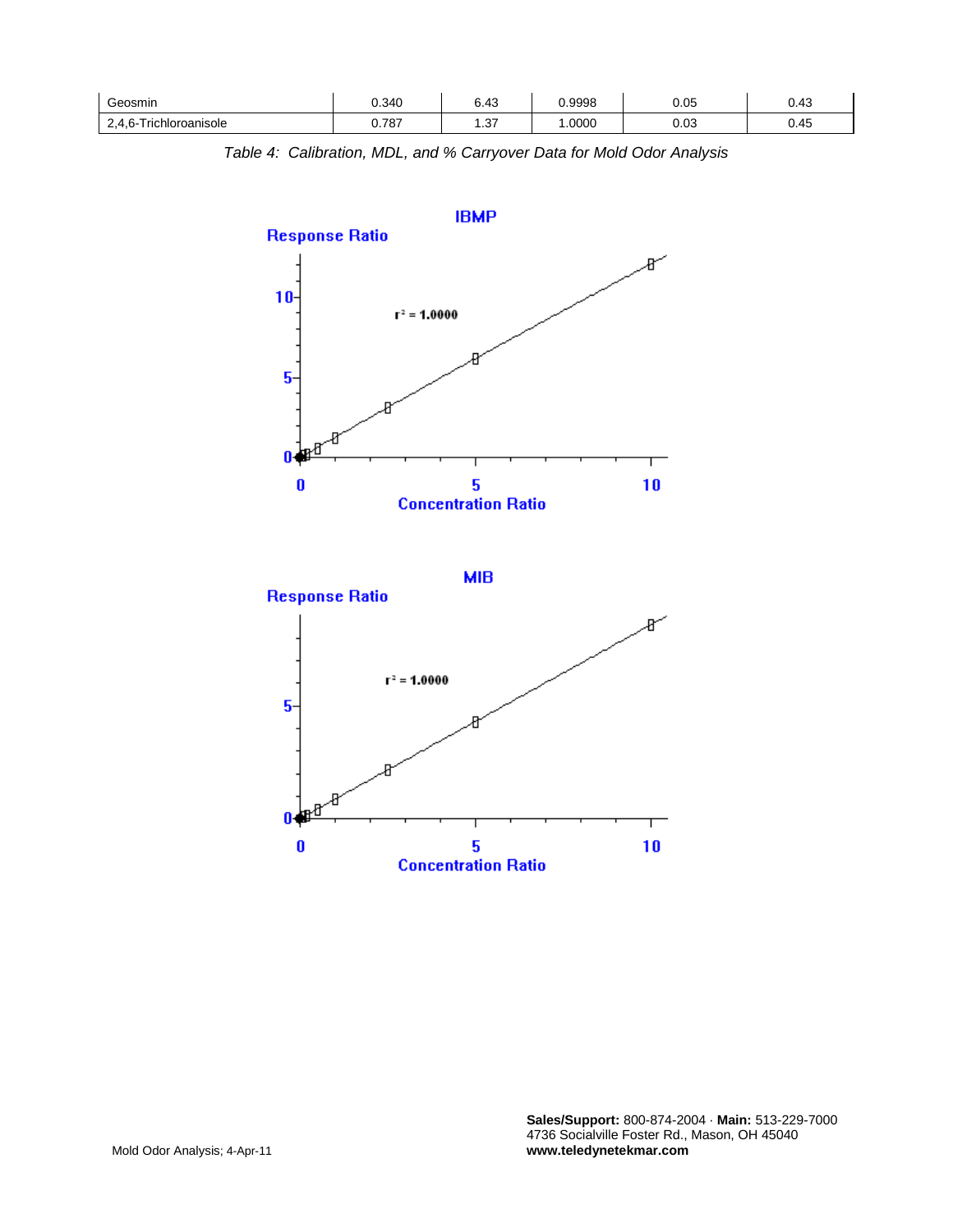| Geosmin                                              | 0.340 | $\epsilon$<br>$\overline{ }$<br>∪.+∪ | .9998 | 0.05 | س ک  |
|------------------------------------------------------|-------|--------------------------------------|-------|------|------|
| ໍ້<br><sup>-</sup> richloroanisole<br>n-<br><u>.</u> | 0.787 | $\sim$<br>1.VI                       | 0000  | 0.03 | U.45 |

*Table 4: Calibration, MDL, and % Carryover Data for Mold Odor Analysis*



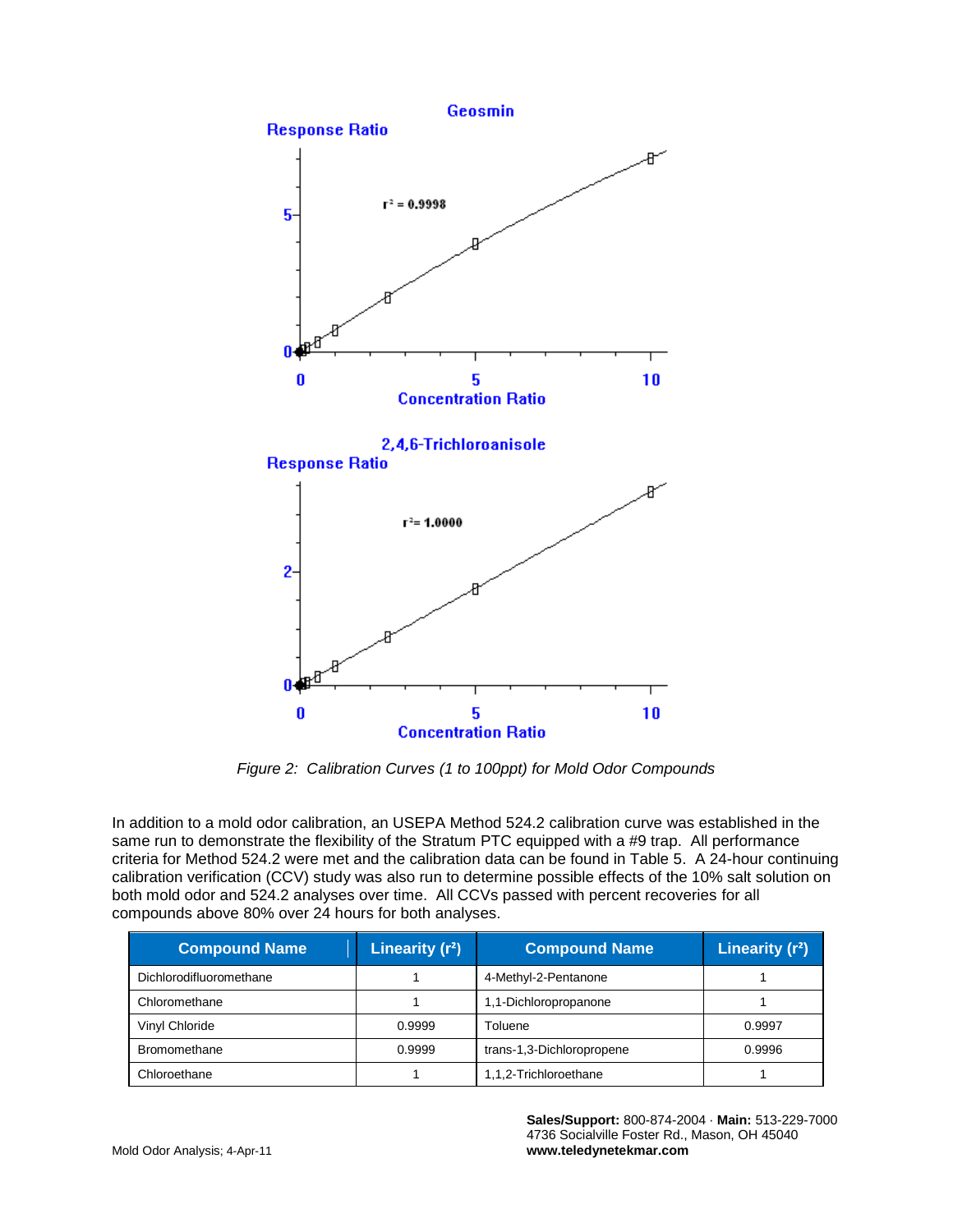

*Figure 2: Calibration Curves (1 to 100ppt) for Mold Odor Compounds*

In addition to a mold odor calibration, an USEPA Method 524.2 calibration curve was established in the same run to demonstrate the flexibility of the Stratum PTC equipped with a #9 trap. All performance criteria for Method 524.2 were met and the calibration data can be found in Table 5. A 24-hour continuing calibration verification (CCV) study was also run to determine possible effects of the 10% salt solution on both mold odor and 524.2 analyses over time. All CCVs passed with percent recoveries for all compounds above 80% over 24 hours for both analyses.

| <b>Compound Name</b>    | Linearity $(r^2)$     | <b>Compound Name</b>      | Linearity $(r^2)$ |
|-------------------------|-----------------------|---------------------------|-------------------|
| Dichlorodifluoromethane |                       | 4-Methyl-2-Pentanone      |                   |
| Chloromethane           | 1,1-Dichloropropanone |                           |                   |
| Vinyl Chloride          | 0.9999                | Toluene                   | 0.9997            |
| <b>Bromomethane</b>     | 0.9999                | trans-1,3-Dichloropropene | 0.9996            |
| Chloroethane            |                       | 1,1,2-Trichloroethane     |                   |

**Sales/Support:** 800-874-2004 · **Main:** 513-229-7000 4736 Socialville Foster Rd., Mason, OH 45040 **www.teledynetekmar.com**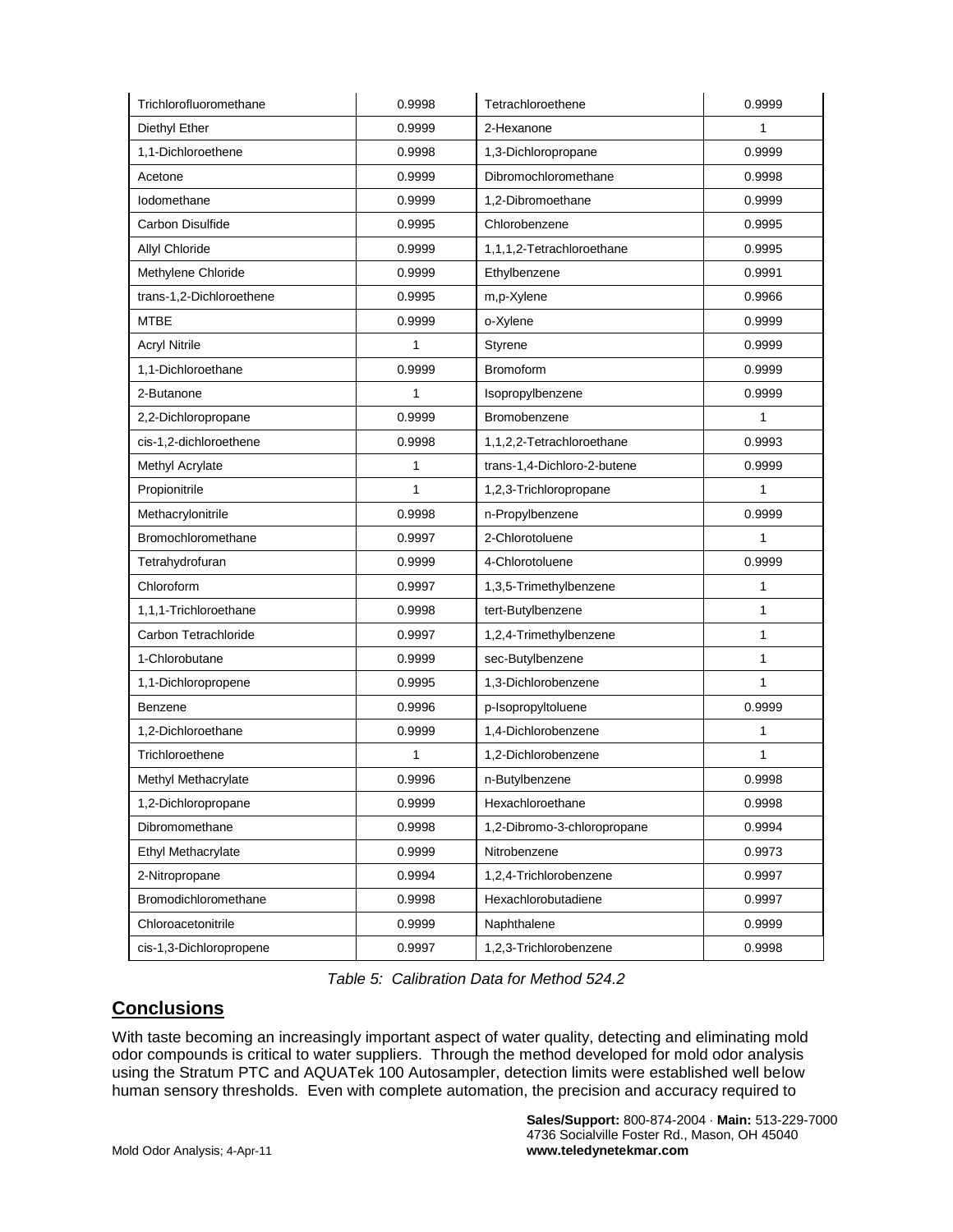| Trichlorofluoromethane    | 0.9998 | Tetrachloroethene           | 0.9999       |
|---------------------------|--------|-----------------------------|--------------|
| Diethyl Ether             | 0.9999 | 2-Hexanone                  | $\mathbf{1}$ |
| 1,1-Dichloroethene        | 0.9998 | 1,3-Dichloropropane         | 0.9999       |
| Acetone                   | 0.9999 | Dibromochloromethane        | 0.9998       |
| Iodomethane               | 0.9999 | 1,2-Dibromoethane           | 0.9999       |
| Carbon Disulfide          | 0.9995 | Chlorobenzene               | 0.9995       |
| <b>Allyl Chloride</b>     | 0.9999 | 1,1,1,2-Tetrachloroethane   | 0.9995       |
| Methylene Chloride        | 0.9999 | Ethylbenzene                | 0.9991       |
| trans-1,2-Dichloroethene  | 0.9995 | m,p-Xylene                  | 0.9966       |
| <b>MTBE</b>               | 0.9999 | o-Xylene                    | 0.9999       |
| <b>Acryl Nitrile</b>      | 1      | Styrene                     | 0.9999       |
| 1,1-Dichloroethane        | 0.9999 | <b>Bromoform</b>            | 0.9999       |
| 2-Butanone                | 1      | Isopropylbenzene            | 0.9999       |
| 2,2-Dichloropropane       | 0.9999 | Bromobenzene                | $\mathbf{1}$ |
| cis-1,2-dichloroethene    | 0.9998 | 1,1,2,2-Tetrachloroethane   | 0.9993       |
| Methyl Acrylate           | 1      | trans-1,4-Dichloro-2-butene | 0.9999       |
| Propionitrile             | 1      | 1,2,3-Trichloropropane      | 1            |
| Methacrylonitrile         | 0.9998 | n-Propylbenzene             | 0.9999       |
| Bromochloromethane        | 0.9997 | 2-Chlorotoluene             | 1            |
| Tetrahydrofuran           | 0.9999 | 4-Chlorotoluene             | 0.9999       |
| Chloroform                | 0.9997 | 1,3,5-Trimethylbenzene      | 1            |
| 1,1,1-Trichloroethane     | 0.9998 | tert-Butylbenzene           | 1            |
| Carbon Tetrachloride      | 0.9997 | 1,2,4-Trimethylbenzene      | $\mathbf{1}$ |
| 1-Chlorobutane            | 0.9999 | sec-Butylbenzene            | 1            |
| 1,1-Dichloropropene       | 0.9995 | 1,3-Dichlorobenzene         | $\mathbf{1}$ |
| Benzene                   | 0.9996 | p-Isopropyltoluene          | 0.9999       |
| 1.2-Dichloroethane        | 0.9999 | 1,4-Dichlorobenzene         | 1            |
| Trichloroethene           | 1      | 1,2-Dichlorobenzene         | 1            |
| Methyl Methacrylate       | 0.9996 | n-Butylbenzene              | 0.9998       |
| 1,2-Dichloropropane       | 0.9999 | Hexachloroethane            | 0.9998       |
| Dibromomethane            | 0.9998 | 1,2-Dibromo-3-chloropropane | 0.9994       |
| <b>Ethyl Methacrylate</b> | 0.9999 | Nitrobenzene                | 0.9973       |
| 2-Nitropropane            | 0.9994 | 1,2,4-Trichlorobenzene      | 0.9997       |
| Bromodichloromethane      | 0.9998 | Hexachlorobutadiene         | 0.9997       |
| Chloroacetonitrile        | 0.9999 | Naphthalene                 | 0.9999       |
| cis-1,3-Dichloropropene   | 0.9997 | 1,2,3-Trichlorobenzene      | 0.9998       |

*Table 5: Calibration Data for Method 524.2*

## **Conclusions**

With taste becoming an increasingly important aspect of water quality, detecting and eliminating mold odor compounds is critical to water suppliers. Through the method developed for mold odor analysis using the Stratum PTC and AQUATek 100 Autosampler, detection limits were established well below human sensory thresholds. Even with complete automation, the precision and accuracy required to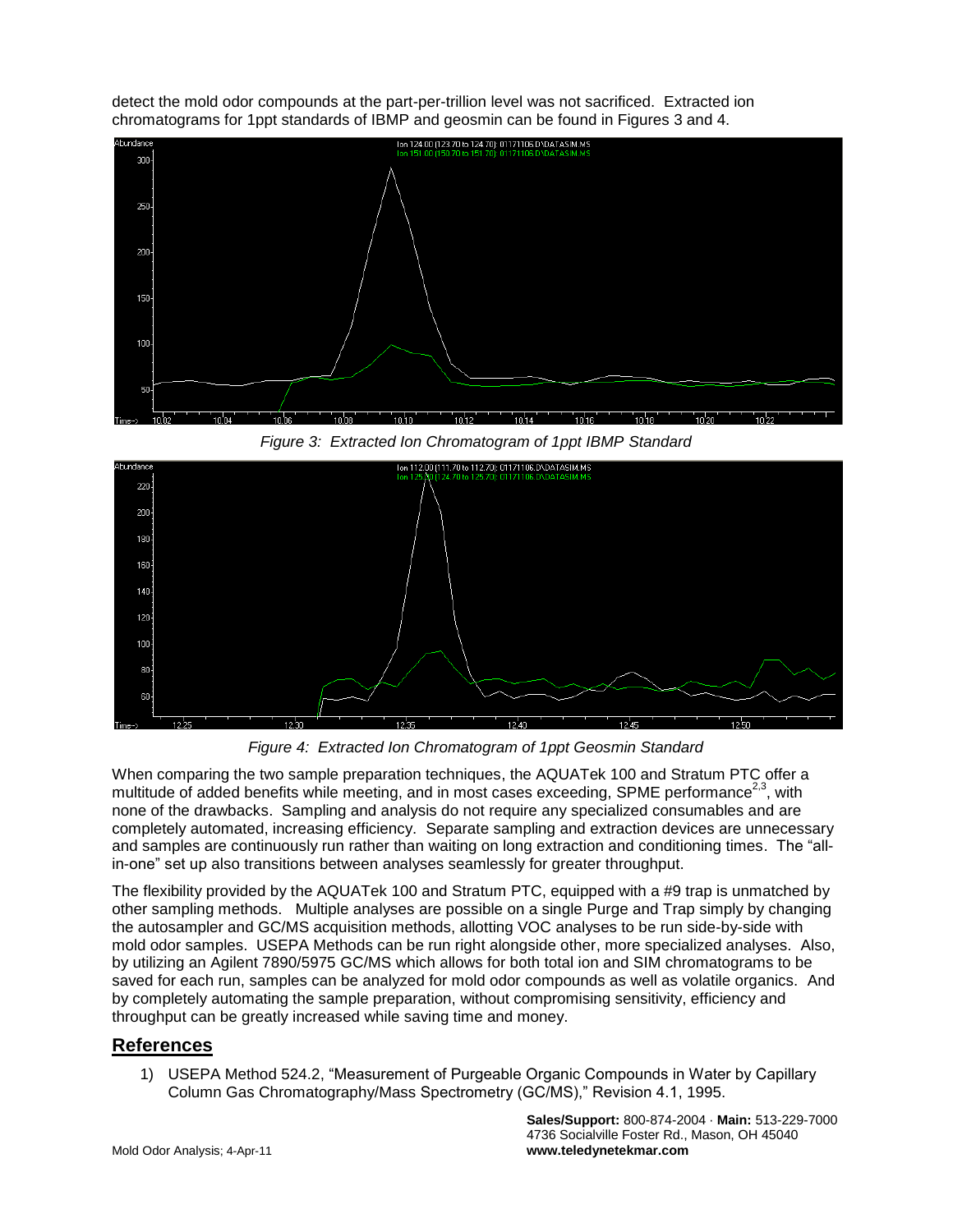detect the mold odor compounds at the part-per-trillion level was not sacrificed. Extracted ion chromatograms for 1ppt standards of IBMP and geosmin can be found in Figures 3 and 4.



*Figure 3: Extracted Ion Chromatogram of 1ppt IBMP Standard*



*Figure 4: Extracted Ion Chromatogram of 1ppt Geosmin Standard*

When comparing the two sample preparation techniques, the AQUATek 100 and Stratum PTC offer a multitude of added benefits while meeting, and in most cases exceeding, SPME performance<sup>2,3</sup>, with none of the drawbacks. Sampling and analysis do not require any specialized consumables and are completely automated, increasing efficiency. Separate sampling and extraction devices are unnecessary and samples are continuously run rather than waiting on long extraction and conditioning times. The "allin-one" set up also transitions between analyses seamlessly for greater throughput.

The flexibility provided by the AQUATek 100 and Stratum PTC, equipped with a #9 trap is unmatched by other sampling methods. Multiple analyses are possible on a single Purge and Trap simply by changing the autosampler and GC/MS acquisition methods, allotting VOC analyses to be run side-by-side with mold odor samples. USEPA Methods can be run right alongside other, more specialized analyses. Also, by utilizing an Agilent 7890/5975 GC/MS which allows for both total ion and SIM chromatograms to be saved for each run, samples can be analyzed for mold odor compounds as well as volatile organics. And by completely automating the sample preparation, without compromising sensitivity, efficiency and throughput can be greatly increased while saving time and money.

#### **References**

1) USEPA Method 524.2, "Measurement of Purgeable Organic Compounds in Water by Capillary Column Gas Chromatography/Mass Spectrometry (GC/MS)," Revision 4.1, 1995.

> **Sales/Support:** 800-874-2004 · **Main:** 513-229-7000 4736 Socialville Foster Rd., Mason, OH 45040 **www.teledynetekmar.com**